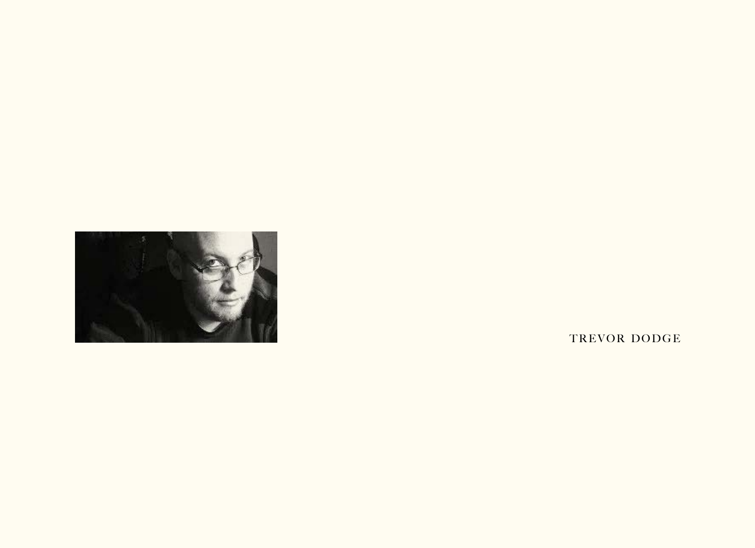

TREVOR DODGE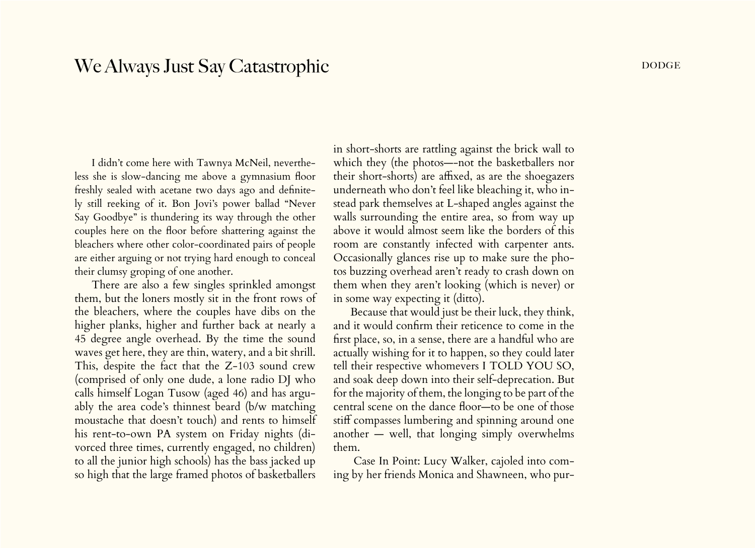## We Always Just Say Catastrophic DODGE DODGE

I didn't come here with Tawnya McNeil, nevertheless she is slow-dancing me above a gymnasium floor freshly sealed with acetane two days ago and definitely still reeking of it. Bon Jovi's power ballad "Never Say Goodbye" is thundering its way through the other couples here on the floor before shattering against the bleachers where other color-coordinated pairs of people are either arguing or not trying hard enough to conceal their clumsy groping of one another.

There are also a few singles sprinkled amongst them, but the loners mostly sit in the front rows of the bleachers, where the couples have dibs on the higher planks, higher and further back at nearly a 45 degree angle overhead. By the time the sound waves get here, they are thin, watery, and a bit shrill. This, despite the fact that the Z-103 sound crew (comprised of only one dude, a lone radio DJ who calls himself Logan Tusow (aged 46) and has arguably the area code's thinnest beard (b/w matching moustache that doesn't touch) and rents to himself his rent-to-own PA system on Friday nights (divorced three times, currently engaged, no children) to all the junior high schools) has the bass jacked up so high that the large framed photos of basketballers

in short-shorts are rattling against the brick wall to which they (the photos—-not the basketballers nor their short-shorts) are affixed, as are the shoegazers underneath who don't feel like bleaching it, who instead park themselves at L-shaped angles against the walls surrounding the entire area, so from way up above it would almost seem like the borders of this room are constantly infected with carpenter ants. Occasionally glances rise up to make sure the photos buzzing overhead aren't ready to crash down on them when they aren't looking (which is never) or in some way expecting it (ditto).

Because that would just be their luck, they think, and it would confirm their reticence to come in the first place, so, in a sense, there are a handful who are actually wishing for it to happen, so they could later tell their respective whomevers I TOLD YOU SO, and soak deep down into their self-deprecation. But for the majority of them, the longing to be part of the central scene on the dance floor—to be one of those stiff compasses lumbering and spinning around one another — well, that longing simply overwhelms them.

 Case In Point: Lucy Walker, cajoled into coming by her friends Monica and Shawneen, who pur-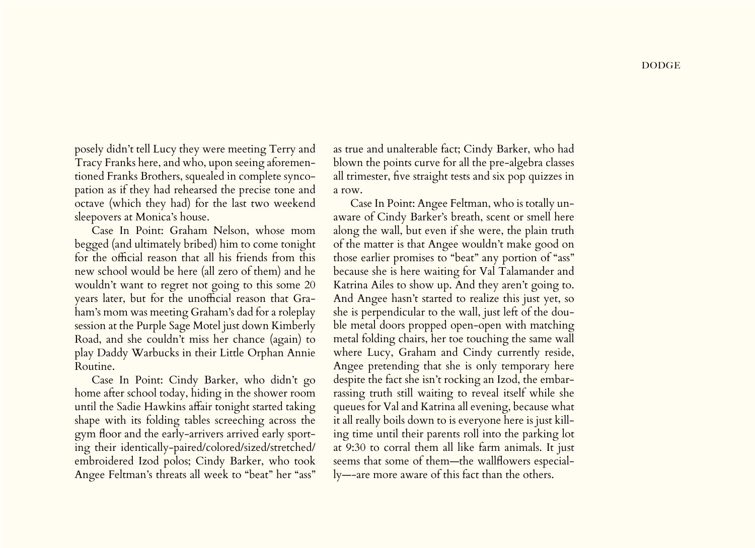**DODGE** 

posely didn't tell Lucy they were meeting Terry and Tracy Franks here, and who, upon seeing aforementioned Franks Brothers, squealed in complete syncopation as if they had rehearsed the precise tone and octave (which they had) for the last two weekend sleepovers at Monica's house.

Case In Point: Graham Nelson, whose mom begged (and ultimately bribed) him to come tonight for the official reason that all his friends from this new school would be here (all zero of them) and he wouldn't want to regret not going to this some 20 years later, but for the unofficial reason that Graham's mom was meeting Graham's dad for a roleplay session at the Purple Sage Motel just down Kimberly Road, and she couldn't miss her chance (again) to play Daddy Warbucks in their Little Orphan Annie Routine.

Case In Point: Cindy Barker, who didn't go home after school today, hiding in the shower room until the Sadie Hawkins affair tonight started taking shape with its folding tables screeching across the gym floor and the early-arrivers arrived early sporting their identically-paired/colored/sized/stretched/ embroidered Izod polos; Cindy Barker, who took Angee Feltman's threats all week to "beat" her "ass"

as true and unalterable fact; Cindy Barker, who had blown the points curve for all the pre-algebra classes all trimester, five straight tests and six pop quizzes in a row.

Case In Point: Angee Feltman, who is totally unaware of Cindy Barker's breath, scent or smell here along the wall, but even if she were, the plain truth of the matter is that Angee wouldn't make good on those earlier promises to "beat" any portion of "ass" because she is here waiting for Val Talamander and Katrina Ailes to show up. And they aren't going to. And Angee hasn't started to realize this just yet, so she is perpendicular to the wall, just left of the double metal doors propped open-open with matching metal folding chairs, her toe touching the same wall where Lucy, Graham and Cindy currently reside, Angee pretending that she is only temporary here despite the fact she isn't rocking an Izod, the embarrassing truth still waiting to reveal itself while she queues for Val and Katrina all evening, because what it all really boils down to is everyone here is just killing time until their parents roll into the parking lot at 9:30 to corral them all like farm animals. It just seems that some of them—the wallflowers especially—-are more aware of this fact than the others.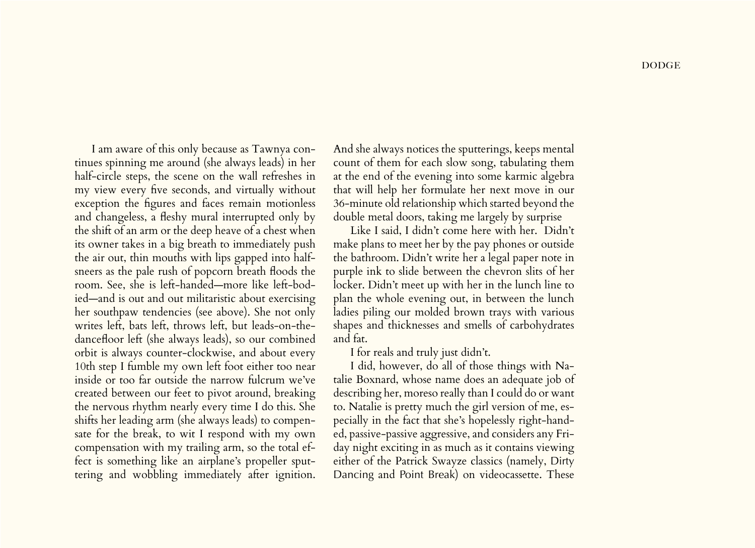I am aware of this only because as Tawnya continues spinning me around (she always leads) in her half-circle steps, the scene on the wall refreshes in my view every five seconds, and virtually without exception the figures and faces remain motionless and changeless, a fleshy mural interrupted only by the shift of an arm or the deep heave of a chest when its owner takes in a big breath to immediately push the air out, thin mouths with lips gapped into halfsneers as the pale rush of popcorn breath floods the room. See, she is left-handed—more like left-bodied—and is out and out militaristic about exercising her southpaw tendencies (see above). She not only writes left, bats left, throws left, but leads-on-thedancefloor left (she always leads), so our combined orbit is always counter-clockwise, and about every 10th step I fumble my own left foot either too near inside or too far outside the narrow fulcrum we've created between our feet to pivot around, breaking the nervous rhythm nearly every time I do this. She shifts her leading arm (she always leads) to compensate for the break, to wit I respond with my own compensation with my trailing arm, so the total effect is something like an airplane's propeller sputtering and wobbling immediately after ignition.

And she always notices the sputterings, keeps mental count of them for each slow song, tabulating them at the end of the evening into some karmic algebra that will help her formulate her next move in our 36-minute old relationship which started beyond the double metal doors, taking me largely by surprise

Like I said, I didn't come here with her. Didn't make plans to meet her by the pay phones or outside the bathroom. Didn't write her a legal paper note in purple ink to slide between the chevron slits of her locker. Didn't meet up with her in the lunch line to plan the whole evening out, in between the lunch ladies piling our molded brown trays with various shapes and thicknesses and smells of carbohydrates and fat.

I for reals and truly just didn't.

I did, however, do all of those things with Natalie Boxnard, whose name does an adequate job of describing her, moreso really than I could do or want to. Natalie is pretty much the girl version of me, especially in the fact that she's hopelessly right-handed, passive-passive aggressive, and considers any Friday night exciting in as much as it contains viewing either of the Patrick Swayze classics (namely, Dirty Dancing and Point Break) on videocassette. These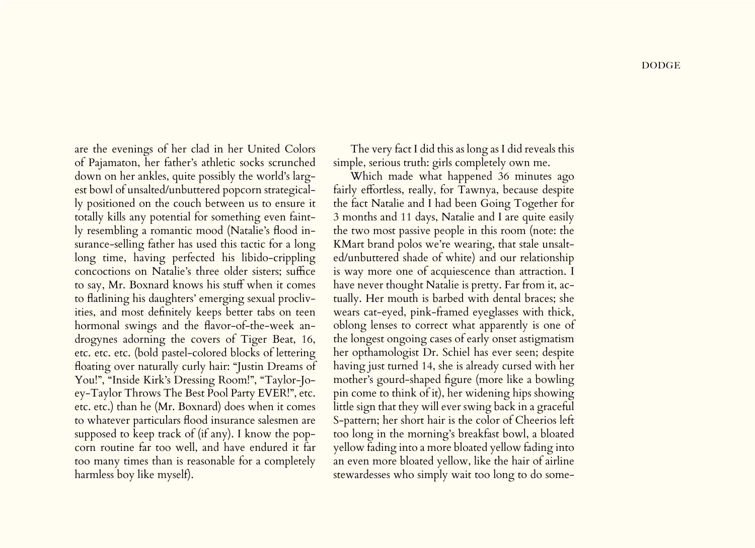are the evenings of her clad in her United Colors of Pajamaton, her father's athletic socks scrunched down on her ankles, quite possibly the world's largest bowl of unsalted/unbuttered popcorn strategically positioned on the couch between us to ensure it totally kills any potential for something even faintly resembling a romantic mood (Natalie's flood insurance-selling father has used this tactic for a long long time, having perfected his libido-crippling concoctions on Natalie's three older sisters; suffice to say, Mr. Boxnard knows his stuff when it comes to flatlining his daughters' emerging sexual proclivities, and most definitely keeps better tabs on teen hormonal swings and the flavor-of-the-week androgynes adorning the covers of Tiger Beat, 16, etc. etc. etc. (bold pastel-colored blocks of lettering floating over naturally curly hair: "Justin Dreams of You!", "Inside Kirk's Dressing Room!", "Taylor-Joey-Taylor Throws The Best Pool Party EVER!", etc. etc. etc.) than he (Mr. Boxnard) does when it comes to whatever particulars flood insurance salesmen are supposed to keep track of (if any). I know the popcorn routine far too well, and have endured it far too many times than is reasonable for a completely harmless boy like myself).

The very fact I did this as long as I did reveals this simple, serious truth: girls completely own me.

Which made what happened 36 minutes ago fairly effortless, really, for Tawnya, because despite the fact Natalie and I had been Going Together for 3 months and 11 days, Natalie and I are quite easily the two most passive people in this room (note: the KMart brand polos we're wearing, that stale unsalted/unbuttered shade of white) and our relationship is way more one of acquiescence than attraction. I have never thought Natalie is pretty. Far from it, actually. Her mouth is barbed with dental braces; she wears cat-eyed, pink-framed eyeglasses with thick, oblong lenses to correct what apparently is one of the longest ongoing cases of early onset astigmatism her opthamologist Dr. Schiel has ever seen; despite having just turned 14, she is already cursed with her mother's gourd-shaped figure (more like a bowling pin come to think of it), her widening hips showing little sign that they will ever swing back in a graceful S-pattern; her short hair is the color of Cheerios left too long in the morning's breakfast bowl, a bloated yellow fading into a more bloated yellow fading into an even more bloated yellow, like the hair of airline stewardesses who simply wait too long to do some-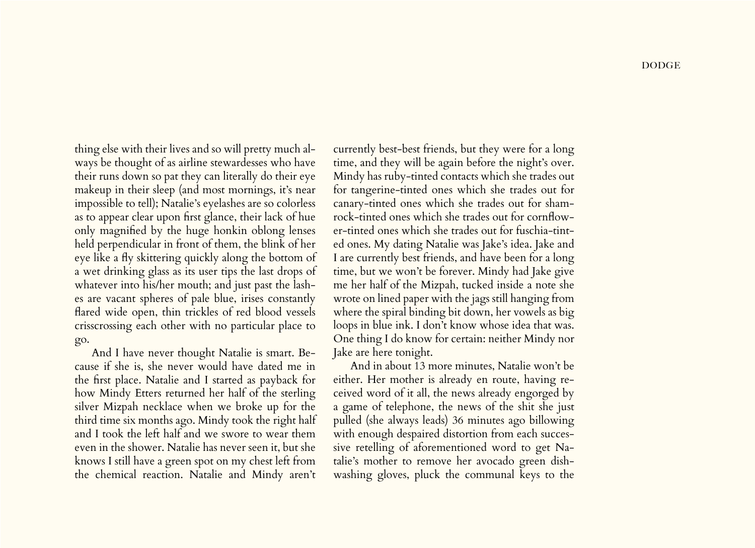thing else with their lives and so will pretty much always be thought of as airline stewardesses who have their runs down so pat they can literally do their eye makeup in their sleep (and most mornings, it's near impossible to tell); Natalie's eyelashes are so colorless as to appear clear upon first glance, their lack of hue only magnified by the huge honkin oblong lenses held perpendicular in front of them, the blink of her eye like a fly skittering quickly along the bottom of a wet drinking glass as its user tips the last drops of whatever into his/her mouth; and just past the lashes are vacant spheres of pale blue, irises constantly flared wide open, thin trickles of red blood vessels crisscrossing each other with no particular place to go.

And I have never thought Natalie is smart. Because if she is, she never would have dated me in the first place. Natalie and I started as payback for how Mindy Etters returned her half of the sterling silver Mizpah necklace when we broke up for the third time six months ago. Mindy took the right half and I took the left half and we swore to wear them even in the shower. Natalie has never seen it, but she knows I still have a green spot on my chest left from the chemical reaction. Natalie and Mindy aren't

currently best-best friends, but they were for a long time, and they will be again before the night's over. Mindy has ruby-tinted contacts which she trades out for tangerine-tinted ones which she trades out for canary-tinted ones which she trades out for shamrock-tinted ones which she trades out for cornflower-tinted ones which she trades out for fuschia-tinted ones. My dating Natalie was Jake's idea. Jake and I are currently best friends, and have been for a long time, but we won't be forever. Mindy had Jake give me her half of the Mizpah, tucked inside a note she wrote on lined paper with the jags still hanging from where the spiral binding bit down, her vowels as big loops in blue ink. I don't know whose idea that was. One thing I do know for certain: neither Mindy nor Jake are here tonight.

And in about 13 more minutes, Natalie won't be either. Her mother is already en route, having received word of it all, the news already engorged by a game of telephone, the news of the shit she just pulled (she always leads) 36 minutes ago billowing with enough despaired distortion from each successive retelling of aforementioned word to get Natalie's mother to remove her avocado green dishwashing gloves, pluck the communal keys to the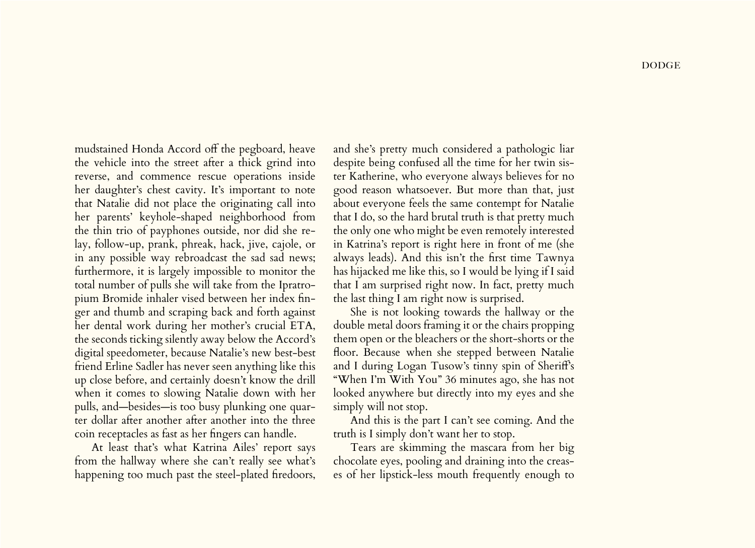mudstained Honda Accord off the pegboard, heave the vehicle into the street after a thick grind into reverse, and commence rescue operations inside her daughter's chest cavity. It's important to note that Natalie did not place the originating call into her parents' keyhole-shaped neighborhood from the thin trio of payphones outside, nor did she relay, follow-up, prank, phreak, hack, jive, cajole, or in any possible way rebroadcast the sad sad news; furthermore, it is largely impossible to monitor the total number of pulls she will take from the Ipratropium Bromide inhaler vised between her index finger and thumb and scraping back and forth against her dental work during her mother's crucial ETA, the seconds ticking silently away below the Accord's digital speedometer, because Natalie's new best-best friend Erline Sadler has never seen anything like this up close before, and certainly doesn't know the drill when it comes to slowing Natalie down with her pulls, and—besides—is too busy plunking one quarter dollar after another after another into the three coin receptacles as fast as her fingers can handle.

At least that's what Katrina Ailes' report says from the hallway where she can't really see what's happening too much past the steel-plated firedoors,

and she's pretty much considered a pathologic liar despite being confused all the time for her twin sister Katherine, who everyone always believes for no good reason whatsoever. But more than that, just about everyone feels the same contempt for Natalie that I do, so the hard brutal truth is that pretty much the only one who might be even remotely interested in Katrina's report is right here in front of me (she always leads). And this isn't the first time Tawnya has hijacked me like this, so I would be lying if I said that I am surprised right now. In fact, pretty much the last thing I am right now is surprised.

She is not looking towards the hallway or the double metal doors framing it or the chairs propping them open or the bleachers or the short-shorts or the floor. Because when she stepped between Natalie and I during Logan Tusow's tinny spin of Sheriff's "When I'm With You" 36 minutes ago, she has not looked anywhere but directly into my eyes and she simply will not stop.

And this is the part I can't see coming. And the truth is I simply don't want her to stop.

Tears are skimming the mascara from her big chocolate eyes, pooling and draining into the creases of her lipstick-less mouth frequently enough to